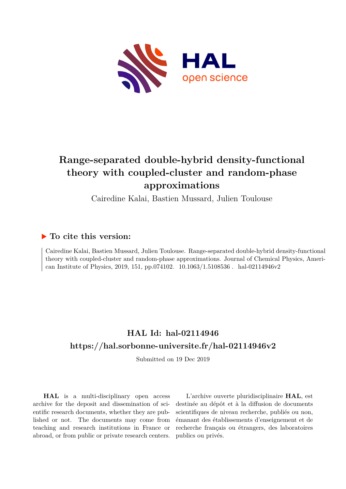

# **Range-separated double-hybrid density-functional theory with coupled-cluster and random-phase approximations**

Cairedine Kalai, Bastien Mussard, Julien Toulouse

### **To cite this version:**

Cairedine Kalai, Bastien Mussard, Julien Toulouse. Range-separated double-hybrid density-functional theory with coupled-cluster and random-phase approximations. Journal of Chemical Physics, American Institute of Physics, 2019, 151, pp.074102. 10.1063/1.5108536 . hal-02114946v2

## **HAL Id: hal-02114946 <https://hal.sorbonne-universite.fr/hal-02114946v2>**

Submitted on 19 Dec 2019

**HAL** is a multi-disciplinary open access archive for the deposit and dissemination of scientific research documents, whether they are published or not. The documents may come from teaching and research institutions in France or abroad, or from public or private research centers.

L'archive ouverte pluridisciplinaire **HAL**, est destinée au dépôt et à la diffusion de documents scientifiques de niveau recherche, publiés ou non, émanant des établissements d'enseignement et de recherche français ou étrangers, des laboratoires publics ou privés.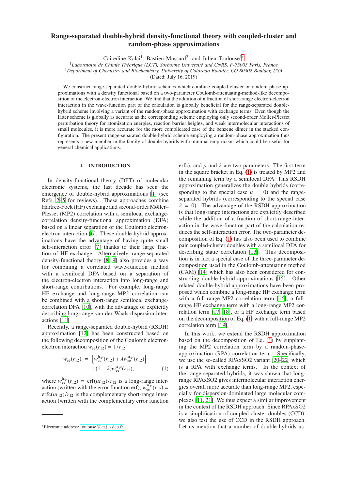### Range-separated double-hybrid density-functional theory with coupled-cluster and random-phase approximations

Cairedine Kalai<sup>1</sup>, Bastien Mussard<sup>2</sup>, and Julien Toulouse<sup>1∗</sup>

<sup>1</sup>Laboratoire de Chimie Théorique (LCT), Sorbonne Université and CNRS, F-75005 Paris, France

<sup>2</sup>*Department of Chemistry and Biochemistry, University of Colorado Boulder, CO 80302 Boulder, USA*

(Dated: July 16, 2019)

We construct range-separated double-hybrid schemes which combine coupled-cluster or random-phase approximations with a density functional based on a two-parameter Coulomb-attenuating-method-like decomposition of the electron-electron interaction. We find that the addition of a fraction of short-range electron-electron interaction in the wave-function part of the calculation is globally beneficial for the range-separated doublehybrid scheme involving a variant of the random-phase approximation with exchange terms. Even though the latter scheme is globally as accurate as the corresponding scheme employing only second-order Møller-Plesset perturbation theory for atomization energies, reaction barrier heights, and weak intermolecular interactions of small molecules, it is more accurate for the more complicated case of the benzene dimer in the stacked configuration. The present range-separated double-hybrid scheme employing a random-phase approximation thus represents a new member in the family of double hybrids with minimal empiricism which could be useful for general chemical applications.

#### I. INTRODUCTION

In density-functional theory (DFT) of molecular electronic systems, the last decade has seen the emergence of double-hybrid approximations [1] (see Refs. 2–5 for reviews). These approaches combine Hartree-Fock (HF) exchange and second-order Møller– Plesset (MP2) correlation with a semilocal exchangecorrelation density-functional approximation (DFA) based on a linear separation of the Coulomb electronelectron interaction [6]. These double-hybrid approximations have the advantage of having quite small self-interaction error [7] thanks to their large fraction of HF exchange. Alternatively, range-separated density-functional theory [8, 9] also provides a way for combining a correlated wave-function method with a semilocal DFA based on a separation of the electron-electron interaction into long-range and short-range contributions. For example, long-range HF exchange and long-range MP2 correlation can be combined with a short-range semilocal exchangecorrelation DFA [10], with the advantage of explicitly describing long-range van der Waals dispersion interactions [11].

Recently, a range-separated double-hybrid (RSDH) approximation [12] has been constructed based on the following decomposition of the Coulomb electronelectron interaction  $w_{ee}(r_{12}) = 1/r_{12}$ 

$$
w_{ee}(r_{12}) = \left[ w_{ee}^{\text{lr},\mu}(r_{12}) + \lambda w_{ee}^{\text{sr},\mu}(r_{12}) \right] + (1 - \lambda) w_{ee}^{\text{sr},\mu}(r_{12}), \tag{1}
$$

where  $w_{ee}^{\text{lr},\mu}(r_{12}) = \text{erf}(\mu r_{12})/r_{12}$  is a long-range interaction (written with the error function erf),  $w_{ee}^{sr,\mu}(r_{12}) =$  $erfc(\mu r_{12})/r_{12}$  is the complementary short-range interaction (written with the complementary error function erfc), and  $\mu$  and  $\lambda$  are two parameters. The first term in the square bracket in Eq. (1) is treated by MP2 and the remaining term by a semilocal DFA. This RSDH approximation generalizes the double hybrids (corresponding to the special case  $\mu = 0$ ) and the rangeseparated hybrids (corresponding to the special case  $\lambda = 0$ ). The advantage of the RSDH approximation is that long-range interactions are explicitly described while the addition of a fraction of short-range interaction in the wave-function part of the calculation reduces the self-interaction error. The two-parameter decomposition of Eq. (1) has also been used to combine pair coupled-cluster doubles with a semilocal DFA for describing static correlation [13]. This decomposition is in fact a special case of the three-parameter decomposition used in the Coulomb-attenuating method (CAM) [14] which has also been considered for constructing double-hybrid approximations [15]. Other related double-hybrid approximations have been proposed which combine a long-range HF exchange term with a full-range MP2 correlation term [16], a fullrange HF exchange term with a long-range MP2 correlation term [17, 18], or a HF exchange term based on the decomposition of Eq. (1) with a full-range MP2 correlation term [19].

In this work, we extend the RSDH approximation based on the decomposition of Eq. (1) by supplanting the MP2 correlation term by a random-phaseapproximation (RPA) correlation term. Specifically, we use the so-called RPAxSO2 variant [20–22] which is a RPA with exchange terms. In the context of the range-separated hybrids, it was shown that longrange RPAxSO2 gives intermolecular interaction energies overall more accurate than long-range MP2, especially for dispersion-dominated large molecular complexes [11, 21]. We thus expect a similar improvement in the context of the RSDH approach. Since RPAxSO2 is a simplification of coupled cluster doubles (CCD), we also test the use of CCD in the RSDH approach. Let us mention that a number of double hybrids us-

<sup>∗</sup>Electronic address: [toulouse@lct.jussieu.fr](mailto:toulouse@lct.jussieu.fr)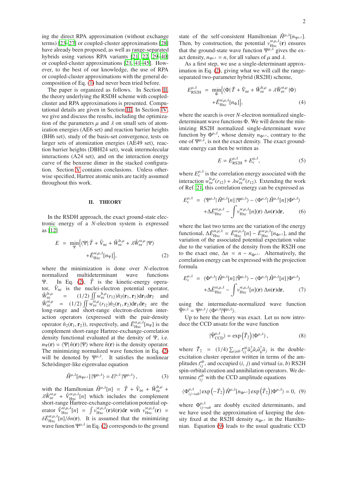ing the direct RPA approximation (without exchange terms) [23–27] or coupled-cluster approximations [28] have already been proposed, as well as range-separated hybrids using various RPA variants [21, 22, 29–40] or coupled-cluster approximations [21, 41–45]. However, to the best of our knowledge, the use of RPA or coupled-cluster approximations with the general decomposition of Eq. (1) had never been tried before.

The paper is organized as follows. In Section II, the theory underlying the RSDH scheme with coupledcluster and RPA approximations is presented. Computational details are given in Section III. In Section IV, we give and discuss the results, including the optimization of the parameters  $\mu$  and  $\lambda$  on small sets of atomization energies (AE6 set) and reaction barrier heights (BH6 set), study of the basis-set convergence, tests on larger sets of atomization energies (AE49 set), reaction barrier heights (DBH24 set), weak intermolecular interactions (A24 set), and on the interaction energy curve of the benzene dimer in the stacked configuration. Section V contains conclusions. Unless otherwise specified, Hartree atomic units are tacitly assumed throughout this work.

#### II. THEORY

In the RSDH approach, the exact ground-state electronic energy of a *N*-electron system is expressed as [12]

$$
E = \min_{\Psi} \left\{ \langle \Psi | \hat{T} + \hat{V}_{\text{ne}} + \hat{W}_{\text{ee}}^{\text{lr}, \mu} + \lambda \hat{W}_{\text{ee}}^{\text{sr}, \mu} | \Psi \rangle \right. \\ \left. + \bar{E}_{\text{Hxc}}^{\text{sr}, \mu, \lambda} [n_{\Psi}] \right\}, \tag{2}
$$

where the minimization is done over *N*-electron normalized multideterminant wave functions Ψ. In Eq. (2),  $\hat{T}$  is the kinetic-energy operator,  $\hat{V}_{\text{ne}}$  is the nuclei-electron potential operator,  $\hat{W}_{\rm ee}^{\rm lr,\mu}$  $\int_{\text{ee}}^{\text{lr},\mu}$  = (1/2)  $\iint w_{\text{ee}}^{\text{lr},\mu}(r_{12}) \hat{n}_2(\mathbf{r}_1,\mathbf{r}_2) d\mathbf{r}_1 d\mathbf{r}_2$  and  $\hat{W}_{ee}^{sr,\mu}$  = (1/2)  $\iint \tilde{W}_{ee}^{sr,\mu}(r_{12}) \hat{n}_2(\mathbf{r}_1,\mathbf{r}_2) d\mathbf{r}_1 d\mathbf{r}_2$  are the long-range and short-range electron-electron interaction operators (expressed with the pair-density operator  $\hat{n}_2(\mathbf{r}_1, \mathbf{r}_2)$ ), respectively, and  $\bar{E}_{\text{Hxc}}^{\text{sr},\mu,\lambda}[n_{\Psi}]$  is the complement short-range Hartree-exchange-correlation density functional evaluated at the density of Ψ, i.e.  $n_{\Psi}(\mathbf{r}) = \langle \Psi | \hat{n}(\mathbf{r}) | \Psi \rangle$  where  $\hat{n}(\mathbf{r})$  is the density operator. The minimizing normalized wave function in Eq. (2) will be denoted by  $\Psi^{\mu,\lambda}$ . It satisfies the nonlinear Schrödinger-like eigenvalue equation

$$
\hat{H}^{\mu,\lambda}[n_{\Psi^{\mu,\lambda}}]|\Psi^{\mu,\lambda}\rangle = \mathcal{E}^{\mu,\lambda}|\Psi^{\mu,\lambda}\rangle, \qquad (3)
$$

with the Hamiltonian  $\hat{H}^{\mu,\lambda}[n] = \hat{T} + \hat{V}_{ne} + \hat{W}_{ee}^{\text{lr},\mu}$  $\lambda \hat{W}_{ee}^{s\tau,\mu} + \hat{V}_{Hxc}^{s\tau,\mu,\lambda}[n]$  which includes the complement short-range Hartree-exchange-correlation potential operator  $\hat{V}_{Hxc}^{sr,\mu,\lambda}[n] = \int v_{Hxc}^{sr,\mu,\lambda}(\mathbf{r})\hat{n}(\mathbf{r})d\mathbf{r}$  with  $v_{Hxc}^{sr,\mu,\lambda}(\mathbf{r}) =$  $\delta \bar{E}^{\text{sr},\mu,\lambda}_{\text{Hxc}}[n]/\delta n(\mathbf{r})$ . It is assumed that the minimizing wave function  $\Psi^{\mu,\lambda}$  in Eq. (2) corresponds to the ground state of the self-consistent Hamiltonian  $\hat{H}^{\mu,\lambda}[n_{\Psi^{\mu,\lambda}}]$ . Then, by construction, the potential  $v_{\text{Hxc}}^{sr,\mu,\lambda}(\mathbf{r})$  ensures that the ground-state wave function  $\Psi^{\mu,\lambda}$  gives the exact density,  $n_{\Psi\mu\lambda} = n$ , for all values of  $\mu$  and  $\lambda$ .

As a first step, we use a single-determinant approximation in Eq. (2), giving what we will call the rangeseparated two-parameter hybrid (RS2H) scheme,

$$
E_{\text{RS2H}}^{\mu,\lambda} = \min_{\Phi} \{ \langle \Phi | \hat{T} + \hat{V}_{\text{ne}} + \hat{W}_{\text{ee}}^{\text{lr},\mu} + \lambda \hat{W}_{\text{ee}}^{\text{sr},\mu} | \Phi \rangle + \bar{E}_{\text{Hxc}}^{\text{sr},\mu,\lambda}[n_{\Phi}], \tag{4}
$$

where the search is over *N*-electron normalized singledeterminant wave functions Φ. We will denote the minimizing RS2H normalized single-determinant wave function by  $\Phi^{\mu,\lambda}$ , whose density  $n_{\Phi^{\mu,\lambda}}$ , contrary to the one of  $\Psi^{\mu,\lambda}$ , is not the exact density. The exact groundstate energy can then be written as

$$
E = E^{\mu,\lambda}_{\text{RSLH}} + E^{\mu,\lambda}_{\text{c}},\tag{5}
$$

where  $E_c^{\mu,\lambda}$  is the correlation energy associated with the interaction  $w_{ee}^{\text{lr},\mu}(r_{12}) + \lambda w_{ee}^{\text{sr},\mu}(r_{12})$ . Extending the work of Ref. 21, this correlation energy can be expressed as

$$
E_{\rm c}^{\mu,\lambda} = \langle \Psi^{\mu,\lambda} | \hat{H}^{\mu,\lambda}[n] | \Psi^{\mu,\lambda} \rangle - \langle \Phi^{\mu,\lambda} | \hat{H}^{\mu,\lambda}[n] | \Phi^{\mu,\lambda} \rangle + \Delta \bar{E}_{\rm Hxc}^{\rm sr,\mu,\lambda} - \int v_{\rm Hxc}^{\rm sr,\mu,\lambda}[n] (\mathbf{r}) \Delta n(\mathbf{r}) d\mathbf{r},
$$
 (6)

where the last two terms are the variation of the energy functional,  $\Delta \bar{E}^{\text{sr},\mu,\lambda}_{\text{Hxc}} = \bar{E}^{\text{sr},\mu,\lambda}_{\text{Hxc}}[n] - \bar{E}^{\text{sr},\mu,\lambda}_{\text{Hxc}}[n_{\Phi^{\mu,\lambda}}]$ , and the variation of the associated potential expectation value due to the variation of the density from the RS2H one to the exact one,  $\Delta n = n - n_{\Phi^{\mu,\lambda}}$ . Alternatively, the correlation energy can be expressed with the projection formula

$$
E_{\rm c}^{\mu,\lambda} = \langle \Phi^{\mu,\lambda} | \hat{H}^{\mu,\lambda}[n] | \tilde{\Psi}^{\mu,\lambda} \rangle - \langle \Phi^{\mu,\lambda} | \hat{H}^{\mu,\lambda}[n] | \Phi^{\mu,\lambda} \rangle + \Delta \bar{E}_{\rm Hxc}^{\rm sr,\mu,\lambda} - \int v_{\rm Hxc}^{\rm sr,\mu,\lambda}[n] (\mathbf{r}) \Delta n(\mathbf{r}) d\mathbf{r}, \tag{7}
$$

using the intermediate-normalized wave function  $\tilde{\Psi}^{\mu,\lambda} = \Psi^{\mu,\lambda}/\langle \Phi^{\mu,\lambda}|\Psi^{\mu,\lambda}\rangle.$ 

Up to here the theory was exact. Let us now introduce the CCD ansatz for the wave function

$$
|\tilde{\Psi}_{\text{CCD}}^{\mu,\lambda}\rangle = \exp\left(\hat{T}_2\right)|\Phi^{\mu,\lambda}\rangle,\tag{8}
$$

where  $\hat{T}_2$  =  $(1/4) \sum_{i \, jab} t_{ij}^{ab} \hat{a}_{a}^\dagger \hat{a}_{i} \hat{a}_{b}^\dagger \hat{a}_{j}$  is the doubleexcitation cluster operator written in terms of the amplitudes  $t_{ij}^{ab}$ , and occupied  $(i, j)$  and virtual  $(a, b)$  RS2H spin-orbital creation and annihilation operators. We determine  $t_{ij}^{ab}$  with the CCD amplitude equations

$$
\langle \Phi^{\mu,\lambda}_{ij \to ab} | \exp\left(-\hat{T}_2\right) \hat{H}^{\mu,\lambda} [n_{\Phi^{\mu,\lambda}}] \exp\left(\hat{T}_2\right) | \Phi^{\mu,\lambda} \rangle = 0, \tag{9}
$$

where  $\Phi_{ij \to ab}^{\mu,\lambda}$  are doubly excited determinants, and we have used the approximation of keeping the density fixed at the RS2H density  $n_{\Phi^{\mu,\lambda}}$  in the Hamiltonian. Equation (9) leads to the usual quadratic CCD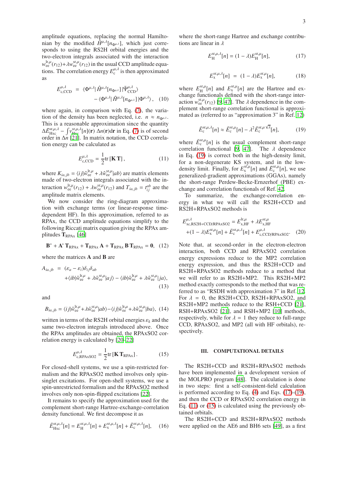amplitude equations, replacing the normal Hamiltonian by the modified  $\hat{H}^{\mu,\lambda}[n_{\Phi^{\mu,\lambda}}]$ , which just corresponds to using the RS2H orbital energies and the two-electron integrals associated with the interaction  $w_{ee}^{\text{lr},\mu}(r_{12}) + \lambda w_{ee}^{\text{sr},\mu}(r_{12})$  in the usual CCD amplitude equations. The correlation energy  $E_c^{\mu,\lambda}$  is then approximated as

$$
E_{\text{c,CCD}}^{\mu,\lambda} = \langle \Phi^{\mu,\lambda} | \hat{H}^{\mu,\lambda} [n_{\Phi^{\mu,\lambda}}] | \tilde{\Psi}_{\text{CCD}}^{\mu,\lambda} \rangle - \langle \Phi^{\mu,\lambda} | \hat{H}^{\mu,\lambda} [n_{\Phi^{\mu,\lambda}}] | \Phi^{\mu,\lambda} \rangle, \quad (10)
$$

where again, in comparison with Eq. (7), the variation of the density has been neglected, i.e.  $n \approx n_{\Phi^{\mu,\lambda}}$ . This is a reasonable approximation since the quantity  $\Delta E_{\text{Hxc}}^{\text{sr},\mu,\lambda} - \int v_{\text{Hxc}}^{\text{sr},\mu,\lambda}[n](\mathbf{r}) \Delta n(\mathbf{r}) d\mathbf{r}$  in Eq. (7) is of second order in ∆*n* [21]. In matrix notation, the CCD correlation energy can be calculated as

$$
E_{\text{c,CCD}}^{\mu,\lambda} = \frac{1}{2} \text{tr} \left[ \mathbf{K} \, \mathbf{T} \right],\tag{11}
$$

where  $K_{ia,jb} = \langle i j | \hat{w}_{ee}^{lr,\mu} + \lambda \hat{w}_{ee}^{sr,\mu} | ab \rangle$  are matrix elements made of two-electron integrals associated with the interaction  $w_{ee}^{\text{lr}, \mu}(r_{12}) + \lambda w_{ee}^{\text{sr}, \mu}(r_{12})$  and  $T_{ia,jb} = t_{ij}^{ab}$  are the amplitude matrix elements.

We now consider the ring-diagram approximation with exchange terms (or linear-response timedependent HF). In this approximation, referred to as RPAx, the CCD amplitude equations simplify to the following Riccati matrix equation giving the RPAx amplitudes  $T_{RPAx}$  [46]

$$
\mathbf{B}^* + \mathbf{A}^* \mathbf{T}_{\text{RPAX}} + \mathbf{T}_{\text{RPAX}} \mathbf{A} + \mathbf{T}_{\text{RPAX}} \mathbf{B} \mathbf{T}_{\text{RPAX}} = \mathbf{0}, \quad (12)
$$

where the matrices **A** and **B** are

$$
A_{ia,jb} = (\varepsilon_a - \varepsilon_i) \delta_{ij} \delta_{ab}
$$
  
 
$$
+ \langle ib | \hat{w}_{ee}^{lr, \mu} + \lambda \hat{w}_{ee}^{sr, \mu} | aj \rangle - \langle ib | \hat{w}_{ee}^{lr, \mu} + \lambda \hat{w}_{ee}^{sr, \mu} | ja \rangle,
$$
  
(13)

and

$$
B_{ia,jb} = \langle i\,j|\hat{w}_{ee}^{\text{lr},\mu} + \lambda \hat{w}_{ee}^{\text{sr},\mu}|ab\rangle - \langle i\,j|\hat{w}_{ee}^{\text{lr},\mu} + \lambda \hat{w}_{ee}^{\text{sr},\mu}|ba\rangle, \tag{14}
$$

written in terms of the RS2H orbital energies  $\varepsilon_k$  and the same two-electron integrals introduced above. Once the RPAx amplitudes are obtained, the RPAxSO2 correlation energy is calculated by [20–22]

$$
E_{\text{c,RPAxSO2}}^{\mu,\lambda} = \frac{1}{2} \text{tr} \left[ \mathbf{K} \, \mathbf{T}_{\text{RPAx}} \right]. \tag{15}
$$

For closed-shell systems, we use a spin-restricted formalism and the RPAxSO2 method involves only spinsinglet excitations. For open-shell systems, we use a spin-unrestricted formalism and the RPAxSO2 method involves only non-spin-flipped excitations [22].

It remains to specify the approximation used for the complement short-range Hartree-exchange-correlation density functional. We first decompose it as

$$
\bar{E}_{\rm Hxc}^{\rm str, \mu, \lambda}[n] = E_{\rm H}^{\rm str, \mu, \lambda}[n] + E_{\rm x}^{\rm sr, \mu, \lambda}[n] + \bar{E}_{\rm c}^{\rm sr, \mu, \lambda}[n], \quad (16)
$$

where the short-range Hartree and exchange contributions are linear in  $\lambda$ 

$$
E_{\rm H}^{\rm sr, \mu, \lambda}[n] = (1 - \lambda) E_{\rm H}^{\rm sr, \mu}[n],\tag{17}
$$

$$
E_{\mathbf{x}}^{\mathrm{sr},\mu,\lambda}[n] = (1-\lambda)E_{\mathbf{x}}^{\mathrm{sr},\mu}[n],\tag{18}
$$

where  $E_{\rm H}^{\rm sr, \mu}$  $E_X^{\text{sr},\mu}[n]$  and  $E_X^{\text{sr},\mu}[n]$  are the Hartree and exchange functionals defined with the short-range interaction  $w_{ee}^{\text{sr},\mu}(r_{12})$  [9, 47]. The  $\lambda$  dependence in the complement short-range correlation functional is approximated as (referred to as "approximation 3" in Ref. 12)

$$
\bar{E}_{\rm c}^{\rm sr, \mu, \lambda}[n] \approx \bar{E}_{\rm c}^{\rm sr, \mu}[n] - \lambda^2 \bar{E}_{\rm c}^{\rm sr, \mu\sqrt{\lambda}}[n],\tag{19}
$$

where  $\bar{E}_{c}^{sr,\mu}[n]$  is the usual complement short-range correlation functional [9, 47]. The  $\lambda$  dependence in Eq. (19) is correct both in the high-density limit, for a non-degenerate KS system, and in the lowdensity limit. Finally, for  $E_x^{\text{sr},\mu}[n]$  and  $\bar{E}_c^{\text{sr},\mu}[n]$ , we use generalized-gradient approximations (GGAs), namely the short-range Perdew-Becke-Ernzerhof (PBE) exchange and correlation functionals of Ref. 42.

To summarize, the exchange-correlation energy in what we will call the RS2H+CCD and RS2H+RPAxSO2 methods is

$$
E_{\text{xc,RS2H+CCD/RPA}xSO2}^{\mu,\lambda} = E_{\text{x,HF}}^{\text{lr},\mu} + \lambda E_{\text{x,HF}}^{\text{sr},\mu}
$$

$$
+ (1 - \lambda) E_{\text{x}}^{\text{sr},\mu}[n] + \bar{E}_{\text{c}}^{\text{sr},\mu,\lambda}[n] + E_{\text{c,CCD/RPA}xSO2}^{\mu,\lambda}.
$$
 (20)

Note that, at second-order in the electron-electron interaction, both CCD and RPAxSO2 correlation energy expressions reduce to the MP2 correlation energy expression, and thus the RS2H+CCD and RS2H+RPAxSO2 methods reduce to a method that we will refer to as RS2H+MP2. This RS2H+MP2 method exactly corresponds to the method that was referred to as "RSDH with approximation 3" in Ref. 12. For  $\lambda = 0$ , the RS2H+CCD, RS2H+RPAxSO2, and RS2H+MP2 methods reduce to the RSH+CCD [21], RSH+RPAxSO2 [21], and RSH+MP2 [10] methods, respectively, while for  $\lambda = 1$  they reduce to full-range CCD, RPAxSO2, and MP2 (all with HF orbitals), respectively.

#### III. COMPUTATIONAL DETAILS

The RS2H+CCD and RS2H+RPAxSO2 methods have been implemented in a development version of the MOLPRO program [48]. The calculation is done in two steps: first a self-consistent-field calculation is performed according to Eq.  $(4)$  and Eqs.  $(17)-(19)$ , and then the CCD or RPAxSO2 correlation energy in Eq.  $(11)$  or  $(15)$  is calculated using the previously obtained orbitals.

The RS2H+CCD and RS2H+RPAxSO2 methods were applied on the AE6 and BH6 sets [49], as a first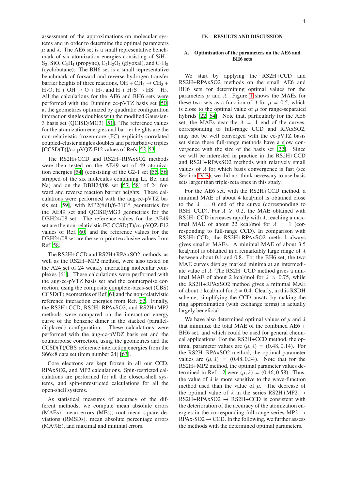assessment of the approximations on molecular systems and in order to determine the optimal parameters  $\mu$  and  $\lambda$ . The AE6 set is a small representative benchmark of six atomization energies consisting of SiH4,  $S_2$ , SiO, C<sub>3</sub>H<sub>4</sub> (propyne), C<sub>2</sub>H<sub>2</sub>O<sub>2</sub> (glyoxal), and C<sub>4</sub>H<sub>8</sub> (cyclobutane). The BH6 set is a small representative benchmark of forward and reverse hydrogen transfer barrier heights of three reactions,  $OH + CH_4 \rightarrow CH_3 +$  $H_2O$ ,  $H + OH \rightarrow O + H_2$ , and  $H + H_2S \rightarrow HS + H_2$ . All the calculations for the AE6 and BH6 sets were performed with the Dunning cc-pVTZ basis set [50] at the geometries optimized by quadratic configuration interaction singles doubles with the modified Gaussian-3 basis set (QCISD/MG3) [51]. The reference values for the atomization energies and barrier heights are the non-relativistic frozen-core (FC) explicitly-correlated coupled-cluster singles doubles and perturbative triples [CCSD(T)]/cc-pVQZ-F12 values of Refs. 52, 53.

The RS2H+CCD and RS2H+RPAxSO2 methods were then tested on the AE49 set of 49 atomization energies [54] (consisting of the G2-1 set [55, 56] stripped of the six molecules containing Li, Be, and Na) and on the DBH24/08 set [57, 58] of 24 forward and reverse reaction barrier heights. These calculations were performed with the aug-cc-pVTZ basis set [59], with MP2(full)/6-31G\* geometries for the AE49 set and QCISD/MG3 geometries for the DBH24/08 set. The reference values for the AE49 set are the non-relativistic FC CCSD(T)/cc-pVQZ-F12 values of Ref. 60, and the reference values for the DBH24/08 set are the zero-point exclusive values from Ref. 58.

The RS2H+CCD and RS2H+RPAxSO2 methods, as well as the RS2H+MP2 method, were also tested on the A24 set of 24 weakly interacting molecular complexes [61]. These calculations were performed with the aug-cc-pVTZ basis set and the counterpoise correction, using the composite complete-basis-set (CBS) CCSD(T) geometries of Ref. 61 and the non-relativistic reference interaction energies from Ref. 62. Finally, the RS2H+CCD, RS2H+RPAxSO2, and RS2H+MP2 methods were compared on the interaction energy curve of the benzene dimer in the stacked (paralleldisplaced) configuration. These calculations were performed with the aug-cc-pVDZ basis set and the counterpoise correction, using the geometries and the CCSD(T)/CBS reference interaction energies from the S66×8 data set (item number 24) [63].

Core electrons are kept frozen in all our CCD, RPAxSO2, and MP2 calculations. Spin-restricted calculations are performed for all the closed-shell systems, and spin-unrestricted calculations for all the open-shell systems.

As statistical measures of accuracy of the different methods, we compute mean absolute errors (MAEs), mean errors (MEs), root mean square deviations (RMSDs), mean absolute percentage errors (MA%E), and maximal and minimal errors.

#### A. Optimization of the parameters on the AE6 and BH6 sets

We start by applying the RS2H+CCD and RS2H+RPAxSO2 methods on the small AE6 and BH6 sets for determining optimal values for the parameters  $\mu$  and  $\lambda$ . Figure 1 shows the MAEs for these two sets as a function of  $\lambda$  for  $\mu = 0.5$ , which is close to the optimal value of  $\mu$  for range-separated hybrids [22, 64]. Note that, particularly for the AE6 set, the MAEs near the  $\lambda = 1$  end of the curves, corresponding to full-range CCD and RPAxSO2, may not be well converged with the cc-pVTZ basis set since these full-range methods have a slow convergence with the size of the basis set [22]. Since we will be interested in practice in the RS2H+CCD and RS2H+RPAxSO2 methods with relatively small values of  $\lambda$  for which basis convergence is fast (see Section IV B), we did not think necessary to use basis sets larger than triple-zeta ones in this study.

For the AE6 set, with the RS2H+CCD method, a minimal MAE of about 4 kcal/mol is obtained close to the  $\lambda = 0$  end of the curve (corresponding to RSH+CCD). For  $\lambda \geq 0.2$ , the MAE obtained with RS2H+CCD increases rapidly with  $\lambda$ , reaching a maximal MAE of about 22 kcal/mol for  $\lambda = 1$  (corresponding to full-range CCD). In comparison with RS2H+CCD, the RS2H+RPAxSO2 method always gives smaller MAEs. A minimal MAE of about 3.5 kcal/mol is obtained in a remarkably large range of  $\lambda$ between about 0.1 and 0.8. For the BH6 set, the two MAE curves display marked minima at an intermediate value of  $\lambda$ . The RS2H+CCD method gives a minimal MAE of about 2 kcal/mol for  $\lambda \approx 0.75$ , while the RS2H+RPAxSO2 method gives a minimal MAE of about 1 kcal/mol for  $\lambda \approx 0.4$ . Clearly, in this RSDH scheme, simplifying the CCD ansatz by making the ring approximation (with exchange terms) is actually largely beneficial.

We have also determined optimal values of  $\mu$  and  $\lambda$ that minimize the total MAE of the combined AE6 + BH6 set, and which could be used for general chemical applications. For the RS2H+CCD method, the optimal parameter values are  $(\mu, \lambda) = (0.48, 0.14)$ . For the RS2H+RPAxSO2 method, the optimal parameter values are  $(\mu, \lambda) = (0.48, 0.34)$ . Note that for the RS2H+MP2 method, the optimal parameter values determined in Ref. 12 were  $(\mu, \lambda) = (0.46, 0.58)$ . Thus, the value of  $\lambda$  is more sensitive to the wave-function method used than the value of  $\mu$ . The decrease of the optimal value of  $\lambda$  in the series RS2H+MP2  $\rightarrow$  $RS2H+RPAxSO2 \rightarrow RS2H+CCD$  is consistent with the deterioration of the accuracy of the atomization energies in the corresponding full-range series MP2  $\rightarrow$  $RPAx-SO2 \rightarrow CCD$ . In the following, we further assess the methods with the determined optimal parameters.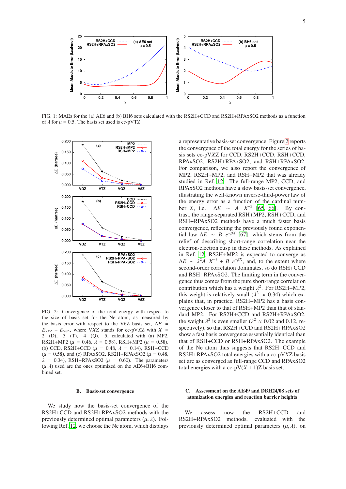

FIG. 1: MAEs for the (a) AE6 and (b) BH6 sets calculated with the RS2H+CCD and RS2H+RPAxSO2 methods as a function of  $\lambda$  for  $\mu = 0.5$ . The basis set used is cc-pVTZ.



FIG. 2: Convergence of the total energy with respect to the size of basis set for the Ne atom, as measured by the basis error with respect to the V6Z basis set, ∆*E* =  $E_{VXZ} - E_{V6Z}$ , where V*XZ* stands for cc-pV*XZ* with  $X =$ 2 (D), 3 (T), 4 (Q), 5, calculated with (a) MP2, RS2H+MP2 ( $\mu = 0.46$ ,  $\lambda = 0.58$ ), RSH+MP2 ( $\mu = 0.58$ ), (b) CCD, RS2H+CCD ( $\mu$  = 0.48,  $\lambda$  = 0.14), RSH+CCD  $(\mu = 0.58)$ , and (c) RPAxSO2, RS2H+RPAxSO2 ( $\mu = 0.48$ ,  $\lambda = 0.34$ ), RSH+RPAxSO2 ( $\mu = 0.60$ ). The parameters  $(\mu, \lambda)$  used are the ones optimized on the AE6+BH6 combined set.

#### B. Basis-set convergence

We study now the basis-set convergence of the RS2H+CCD and RS2H+RPAxSO2 methods with the previously determined optimal parameters  $(\mu, \lambda)$ . Following Ref. 12, we choose the Ne atom, which displays a representative basis-set convergence. Figure 2 reports the convergence of the total energy for the series of basis sets cc-pV*X*Z for CCD, RS2H+CCD, RSH+CCD, RPAxSO2, RS2H+RPAxSO2, and RSH+RPAxSO2. For comparison, we also report the convergence of MP2, RS2H+MP2, and RSH+MP2 that was already studied in Ref. 12. The full-range MP2, CCD, and RPAxSO2 methods have a slow basis-set convergence, illustrating the well-known inverse-third-power law of the energy error as a function of the cardinal number *X*, i.e.  $\Delta E \sim A X^{-3}$  [65, 66]. By contrast, the range-separated RSH+MP2, RSH+CCD, and RSH+RPAxSO2 methods have a much faster basis convergence, reflecting the previously found exponential law  $\Delta E \sim B e^{-\beta X}$  [67], which stems from the relief of describing short-range correlation near the electron-electron cusp in these methods. As explained in Ref. 12, RS2H+MP2 is expected to converge as  $\Delta E \sim \lambda^2 A X^{-3} + B e^{-\beta X}$ , and, to the extent where second-order correlation dominates, so do RSH+CCD and RSH+RPAxSO2. The limiting term in the convergence thus comes from the pure short-range correlation contribution which has a weight  $\lambda^2$ . For RS2H+MP2, this weight is relatively small  $(\lambda^2 \approx 0.34)$  which explains that, in practice, RS2H+MP2 has a basis convergence closer to that of RSH+MP2 than that of standard MP2. For RS2H+CCD and RS2H+RPAxSO2, the weight  $\lambda^2$  is even smaller  $(\lambda^2 \approx 0.02$  and 0.12, respectively), so that RS2H+CCD and RS2H+RPAxSO2 show a fast basis convergence essentially identical than that of RSH+CCD or RSH+RPAxSO2. The example of the Ne atom thus suggests that RS2H+CCD and RS2H+RPAxSO2 total energies with a cc-pV*X*Z basis set are as converged as full-range CCD and RPAxSO2 total energies with a cc-p $V(X + 1)Z$  basis set.

#### C. Assessment on the AE49 and DBH24/08 sets of atomization energies and reaction barrier heights

We assess now the RS2H+CCD and RS2H+RPAxSO2 methods, evaluated with the previously determined optimal parameters  $(\mu, \lambda)$ , on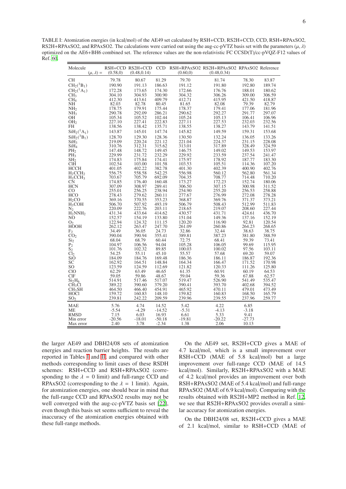TABLE I: Atomization energies (in kcal/mol) of the AE49 set calculated by RSH+CCD, RS2H+CCD, CCD, RSH+RPAxSO2, RS2H+RPAxSO2, and RPAxSO2. The calculations were carried out using the aug-cc-pVTZ basis set with the parameters  $(\mu, \lambda)$ optimized on the AE6+BH6 combined set. The reference values are the non-relativistic FC CCSD(T)/cc-pVQZ-F12 values of Ref. 60.

| Molecule<br>$(\mu, \lambda) =$           | (0.58, 0)        | (0.48, 0.14)     |                  | (0.60, 0)        | RSH+CCD RS2H+CCD CCD RSH+RPAxSO2 RS2H+RPAxSO2 RPAxSO2 Reference<br>(0.48, 0.34) |                  |                  |
|------------------------------------------|------------------|------------------|------------------|------------------|---------------------------------------------------------------------------------|------------------|------------------|
| <b>CH</b>                                | 79.78            | 80.67            | 81.29            | 79.70            | 81.74                                                                           | 78.30            | 83.87            |
| $CH2(3B1)$                               | 190.90           | 191.13           | 186.63           | 191.12           | 191.80                                                                          | 192.80           | 189.74           |
| $CH2({}1A1)$                             | 172.28           | 173.65           | 174.30           | 172.66           | 176.76                                                                          | 188.01           | 180.62           |
| CH <sub>3</sub>                          | 304.10           | 304.93           | 300.90           | 304.32           | 306.26                                                                          | 309.00           | 306.59           |
| CH <sub>4</sub>                          | 412.30           | 413.61           | 409.79           | 412.71           | 415.95                                                                          | 421.50           | 418.87           |
| NH                                       | 82.03            | 82.78            | 80.45            | 81.65            | 82.08                                                                           | 79.39            | 82.79            |
| NH <sub>2</sub>                          | 178.75           | 179.91           | 175.44           | 178.37           | 179.41                                                                          | 177.06           | 181.96           |
| NH <sub>3</sub>                          | 290.78           | 292.09           | 286.21           | 290.62           | 292.27                                                                          | 291.77           | 297.07           |
| OН                                       | 105.34           | 105.52           | 102.44           | 105.24           | 105.13                                                                          | 106.41           | 106.96           |
| OH <sub>2</sub>                          | 227.10           | 227.41           | 222.83           | 227.11           | 227.53                                                                          | 232.03           | 232.56           |
| <b>FH</b>                                | 138.56           | 138.42           | 135.71           | 138.55           | 138.27                                                                          | 143.79           | 141.51           |
| $SiH2({}1A1)$                            | 143.87           | 145.01           | 147.74           | 145.82           | 149.59                                                                          | 159.31           | 153.68           |
| $SiH2(3B1)$                              | 128.70           | 129.30           | 128.36           | 130.50           | 132.24                                                                          | 136.05           | 133.26           |
| SiH <sub>3</sub>                         | 219.09           | 220.24           | 221.12           | 221.04           | 224.37                                                                          | 231.15           | 228.08           |
| SiH <sub>4</sub>                         | 310.76           | 312.31           | 315.62           | 313.01           | 317.89                                                                          | 328.49           | 324.59           |
| PH <sub>2</sub>                          | 147.48<br>229.99 | 148.72           | 149.45<br>232.29 | 146.75           | 149.02                                                                          | 149.53<br>237.54 | 153.97           |
| $PH_3$<br>SH <sub>2</sub>                | 174.83           | 231.72<br>175.84 | 174.41           | 229.92<br>175.97 | 233.59<br>178.92                                                                | 187.77           | 241.47<br>183.30 |
| <b>ClH</b>                               | 102.54           | 103.00           | 101.58           | 103.53           | 105.51                                                                          | 114.36           | 107.20           |
| HCCH                                     | 401.05           | 402.22           | 382.78           | 401.30           | 402.39                                                                          | 400.90           | 402.76           |
| $H_2CCH_2$                               | 556.75           | 558.58           | 542.25           | 556.98           | 560.12                                                                          | 562.80           | 561.34           |
| $H_3CCH_3$                               | 703.67           | 705.79           | 692.09           | 704.35           | 708.77                                                                          | 714.48           | 710.20           |
| <b>CN</b>                                | 174.85           | 176.40           | 160.48           | 173.27           | 172.23                                                                          | 152.74           | 180.06           |
| <b>HCN</b>                               | 307.09           | 308.97           | 289.41           | 306.50           | 307.15                                                                          | 300.98           | 311.52           |
| CO                                       | 255.01           | 256.25           | 238.94           | 254.90           | 255.20                                                                          | 256.53           | 258.88           |
| <b>HCO</b>                               | 278.43           | 279.62           | 260.11           | 277.67           | 276.99                                                                          | 272.08           | 278.28           |
| H <sub>2</sub> CO                        | 369.16           | 370.55           | 353.23           | 368.87           | 369.76                                                                          | 371.37           | 373.21           |
| $H_3COH$                                 | 506.70           | 507.92           | 493.19           | 506.79           | 508.43                                                                          | 512.99           | 511.83           |
| $\rm N_2$                                | 220.09           | 222.76           | 203.11           | 218.65           | 219.07                                                                          | 208.60           | 227.44           |
| $H_2NNH_2$                               | 431.34           | 433.64           | 414.62           | 430.57           | 431.71                                                                          | 424.61           | 436.70           |
| N <sub>O</sub>                           | 152.57<br>122.94 | 154.19<br>124.32 | 133.80<br>111.15 | 151.04<br>120.20 | 149.36<br>116.90                                                                | 137.16<br>92.81  | 152.19<br>120.54 |
| O <sub>2</sub><br><b>HOOH</b>            | 262.12           | 263.47           | 247.70           | 261.09           | 260.86                                                                          | 264.23           | 268.65           |
|                                          | 34.49            | 36.05            | 24.73            | 32.86            | 32.44                                                                           | 38.63            | 38.75            |
| $E_2$ <sub>CO<sub>2</sub></sub>          | 390.04           | 390.94           | 355.41           | 389.81           | 387.23                                                                          | 381.80           | 388.59           |
| Si <sub>2</sub>                          | 68.04            | 68.79            | 60.44            | 72.75            | 68.41                                                                           | 59.39            | 73.41            |
|                                          | 104.97           | 106.56           | 94.04            | 105.28           | 106.05                                                                          | 99.69            | 115.95           |
|                                          | 101.76           | 102.32           | 89.85            | 100.03           | 100.02                                                                          | 97.56            | 103.11           |
| $\overline{P_2}$<br>$S_2$<br>$Cl_2$      | 54.25            | 55.11            | 45.10            | 55.57            | 57.68                                                                           | 69.20            | 59.07            |
| SiO                                      | 184.09           | 184.76           | 169.48           | 186.36           | 186.11                                                                          | 186.87           | 192.36           |
| SC                                       | 162.92           | 164.51           | 148.84           | 164.34           | 166.47                                                                          | 171.52           | 170.98           |
| SO.                                      | 123.59           | 124.59           | 112.69           | 121.82           | 120.33                                                                          | 111.26           | 125.80           |
| CIO                                      | 62.29            | 63.49            | 46.65            | 61.35            | 60.91                                                                           | 60.19            | 64.53            |
| <b>CIF</b>                               | 59.05<br>514.91  | 59.86<br>517.46  | 48.67            | 59.04<br>519.47  | 59.36<br>526.90                                                                 | 67.88<br>541.49  | 62.57<br>535.47  |
| Si <sub>2</sub> H <sub>6</sub>           | 389.22           | 390.60           | 517.07<br>379.20 | 390.41           | 393.70                                                                          | 402.68           | 394.52           |
| CH <sub>3</sub> Cl<br>CH <sub>3</sub> SH | 464.50           | 466.40           | 454.91           | 465.92           | 470.11                                                                          | 479.01           | 473.49           |
| <b>HOCI</b>                              | 159.72           | 160.83           | 148.10           | 159.82           | 160.83                                                                          | 168.50           | 165.79           |
| SO <sub>2</sub>                          | 239.81           | 242.22           | 209.59           | 239.96           | 239.55                                                                          | 237.96           | 259.77           |
| <b>MAE</b>                               | 5.76             | 4.74             | 14.52            | 5.42             | 4.22                                                                            | 6.85             |                  |
| <b>ME</b>                                | $-5.54$          | $-4.29$          | $-14.52$         | $-5.31$          | $-4.13$                                                                         | $-3.18$          |                  |
| <b>RMSD</b>                              | 7.15             | 6.03             | 16.93            | 6.61             | 5.33                                                                            | 9.41             |                  |
| Min error                                | $-20.56$         | $-18.01$         | $-50.18$         | $-19.81$         | $-20.22$                                                                        | $-27.73$         |                  |
| Max error                                | 2.40             | 3.78             | $-2.34$          | 1.38             | 2.06                                                                            | 10.13            |                  |
|                                          |                  |                  |                  |                  |                                                                                 |                  |                  |

the larger AE49 and DBH24/08 sets of atomization energies and reaction barrier heights. The results are reported in Tables I and II, and compared with other methods corresponding to limit cases of these RSDH schemes: RSH+CCD and RSH+RPAxSO2 (corresponding to the  $\lambda = 0$  limit) and full-range CCD and RPAxSO2 (corresponding to the  $\lambda = 1$  limit). Again, for atomization energies, one should bear in mind that the full-range CCD and RPAxSO2 results may not be well converged with the aug-cc-pVTZ basis set [22], even though this basis set seems sufficient to reveal the inaccuracy of the atomization energies obtained with these full-range methods.

On the AE49 set, RS2H+CCD gives a MAE of 4.7 kcal/mol, which is a small improvement over RSH+CCD (MAE of 5.8 kcal/mol) but a large improvement over full-range CCD (MAE of 14.5 kcal/mol). Similarly, RS2H+RPAxSO2 with a MAE of 4.2 kcal/mol provides an improvement over both RSH+RPAxSO2 (MAE of 5.4 kcal/mol) and full-range RPAxSO2 (MAE of 6.9 kcal/mol). Comparing with the results obtained with RS2H+MP2 method in Ref. 12, we see that RS2H+RPAxSO2 provides overall a similar accuracy for atomization energies.

On the DBH24/08 set, RS2H+CCD gives a MAE of 2.1 kcal/mol, similar to RSH+CCD (MAE of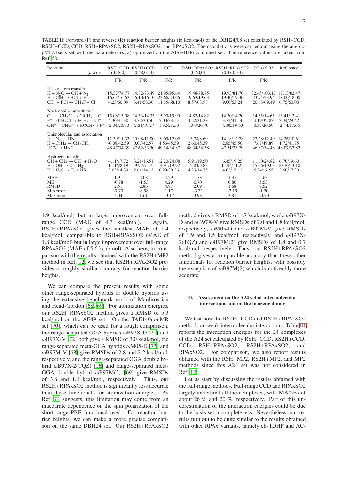TABLE II: Forward (F) and reverse (R) reaction barrier heights (in kcal/mol) of the DBH24/08 set calculated by RSH+CCD, RS2H+CCD, CCD, RSH+RPAxSO2, RS2H+RPAxSO2, and RPAxSO2. The calculations were carried out using the aug-ccpVTZ basis set with the parameters  $(\mu, \lambda)$  optimized on the AE6+BH6 combined set. The reference values are taken from Ref. 58.

| Reaction<br>$(\mu,\lambda) =$                                                                                                                                                          | $RSH+CCD$<br>(0.58, 0)                      | $RS2H+CCD$<br>(0.48, 0.14)                 | <b>CCD</b>                                | (0.60, 0)                                  | RSH+RPAxSO2 RS2H+RPAxSO2<br>(0.48, 0.34)   | RPAxSO <sub>2</sub>                        | Reference                                  |
|----------------------------------------------------------------------------------------------------------------------------------------------------------------------------------------|---------------------------------------------|--------------------------------------------|-------------------------------------------|--------------------------------------------|--------------------------------------------|--------------------------------------------|--------------------------------------------|
|                                                                                                                                                                                        | F/R                                         | F/R                                        | F/R                                       | F/R                                        | F/R                                        | F/R                                        |                                            |
| Heavy-atom transfer<br>$H + N2O \rightarrow OH + N2$<br>$H + CH \rightarrow HCl + H$<br>$CH_3 + FCl \rightarrow CH_3F + Cl$                                                            | 15.37/74.77<br>16.63/16.63<br>4.23/60.09    | 14.82/73.49<br>16.10/16.10<br>3.41/58.36   | 21.95/95.64<br>23.66/23.66<br>11.35/68.10 | 19.48/78.75<br>19.63/19.63<br>8.57/63.98   | 19.93/81.70<br>19.40/19.40<br>9.00/63.24   | 32.45/103.17<br>23.94/23.94<br>20.68/69.49 | 17.13/82.47<br>18.00/18.00<br>6.75/60.00   |
| Nucleophilic substitution<br>$Cl^- \cdots CH_3Cl \rightarrow ClCH_3 \cdots Cl^-$<br>$F^{-}\cdots CH_{3}Cl \rightarrow FCH_{3}\cdots Cl^{-}$<br>$OH^- + CH_3F \rightarrow HOCH_3 + F^-$ | 15.08/15.08<br>4.30/31.30<br>$-2.04/20.70$  | 14.33/14.33<br>3.72/30.50<br>$-2.81/19.27$ | 15.90/15.90<br>5.00/33.55<br>1.32/21.59   | 14.82/14.82<br>4.22/31.28<br>$-1.93/20.70$ | 14.20/14.20<br>3.72/31.14<br>$-2.00/19.63$ | 14.65/14.65<br>4.19/32.83<br>0.37/20.59    | 13.41/13.41<br>3.44/29.42<br>$-2.44/17.66$ |
| Unimolecular and association<br>$H + N_2 \rightarrow H N_2$<br>$H + C_2H_4 \rightarrow CH_3CH_2$<br>$HCN \rightarrow HNC$                                                              | 11.39/11.33<br>$-0.08/42.59$<br>48.47/34.39 | 10.98/11.00<br>0.07/42.57<br>47.62/33.50   | 19.05/12.02<br>4.56/45.59<br>49.24/34.87  | 13.78/8.69<br>2.60/45.39<br>48.34/34.58    | 14.18/12.78<br>2.85/45.56<br>47.51/33.79   | 23.28/12.49<br>7.67/49.89<br>46.87/34.48   | 14.36/10.61<br>1.72/41.75<br>48.07/32.82   |
| Hydrogen transfer<br>$OH + CH4 \rightarrow CH3 + H2O$<br>$H + OH \rightarrow O + H_2$<br>$H + H2S \rightarrow H2 + HS$                                                                 | 4.11/17.72<br>11.16/8.19<br>3.02/14.39      | 3.21/16.51<br>9.97/7.17<br>2.61/14.13      | 12.20/24.08<br>14.91/19.92<br>6.20/20.36  | 5.91/19.50<br>12.83/9.83<br>4.23/14.75     | 6.45/19.25<br>11.94/11.25<br>4.02/15.11    | 11.60/24.82<br>15.56/19.03<br>6.24/17.55   | 6.70/19.60<br>10.70/13.10<br>3.60/17.30    |
| <b>MAE</b><br><b>ME</b><br><b>RMSD</b><br>Min error<br>Max error                                                                                                                       | 1.91<br>$-0.78$<br>2.51<br>$-7.70$<br>3.04  | 2.08<br>$-1.53$<br>2.86<br>$-8.98$<br>1.61 | 4.29<br>4.29<br>4.97<br>1.17<br>13.17     | 1.78<br>0.70<br>2.09<br>$-3.72$<br>3.98    | 1.37<br>0.86<br>1.68<br>$-2.19$<br>3.81    | 5.63<br>5.53<br>7.52<br>$-1.20$<br>20.70   |                                            |

1.9 kcal/mol) but in large improvement over fullrange CCD (MAE of 4.3 kcal/mol). Again, RS2H+RPAxSO2 gives the smallest MAE of 1.4 kcal/mol, comparable to RSH+RPAxSO2 (MAE of 1.8 kcal/mol) but in large improvement over full-range RPAxSO2 (MAE of 5.6 kcal/mol). Also here, in comparison with the results obtained with the RS2H+MP2 method in Ref. 12, we see that RS2H+RPAxSO2 provides a roughly similar accuracy for reaction barrier heights.

We can compare the present results with some other range-separated hybrids or double hybrids using the extensive benchmark work of Mardirossian and Head-Gordon [68, 69]. For atomization energies, our RS2H+RPAxSO2 method gives a RMSD of 5.3 kcal/mol on the AE49 set. On the TAE140nonMR set [70], which can be used for a rough comparison, the range-separated GGA hybrids  $\omega$ B97X-D [71] and  $\omega$ B97X-V [72] both give a RMSD of 3.0 kcal/mol, the range-separated meta-GGA hybrids  $\omega$ M05-D [73] and  $\omega$ B97M-V [68] give RMSDs of 2.8 and 2.2 kcal/mol, respectively, and the range-separated GGA double hybrid  $\omega$ B97X-2(TQZ) [16] and range-separated meta-GGA double hybrid  $\omega$ B97M(2) [69] give RMSDs of 3.6 and 1.6 kcal/mol, respectively. Thus, our RS2H+RPAxSO2 method is significantly less accurate than these functionals for atomization energies. As Ref. 74 suggests, this limitation may come from an inaccurate dependence on the spin polarization of the short-range PBE functional used. For reaction barrier heights, we can make a more precise comparison on the same DBH24 set. Our RS2H+RPAxSO2 method gives a RMSD of 1.7 kcal/mol, while  $\omega$ B97X-D and ωB97X-V give RMSDs of 2.0 and 1.8 kcal/mol, respectively, ωM05-D and ωB97M-V give RMSDs of 1.9 and 1.5 kcal/mol, respectively, and  $\omega$ B97X-2(TQZ) and  $\omega$ B97M(2) give RMSDs of 1.4 and 0.7 kcal/mol, respectively. Thus, our RS2H+RPAxSO2 method gives a comparable accuracy than these other functionals for reaction barrier heights, with possibly the exception of  $\omega$ B97M(2) which is noticeably more accurate.

#### D. Assessment on the A24 set of intermolecular interactions and on the benzene dimer

We test now the RS2H+CCD and RS2H+RPAxSO2 methods on weak intermolecular interactions. Table III reports the interaction energies for the 24 complexes of the A24 set calculated by RSH+CCD, RS2H+CCD, CCD, RSH+RPAxSO2, RS2H+RPAxSO2, and RPAxSO2. For comparison, we also report results obtained with the RSH+MP2, RS2H+MP2, and MP2 methods since this A24 set was not considered in Ref. 12.

Let us start by discussing the results obtained with the full-range methods. Full-range CCD and RPAxSO2 largely underbind all the complexes, with MA%Es of about 26 % and 20 %, respectively. Part of this underestimation of the interaction energies could be due to the basis-set incompleteness. Nevertheless, our results turn out to be quite similar to the results obtained with other RPAx variants, namely eh-TDHF and AC-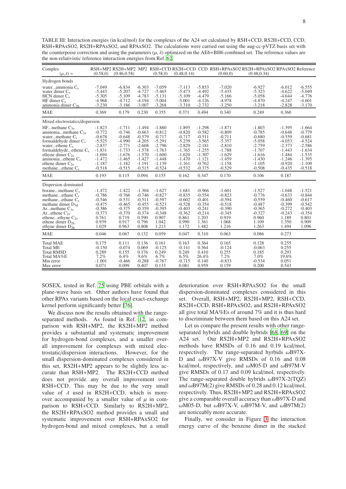TABLE III: Interaction energies (in kcal/mol) for the complexes of the A24 set calculated by RSH+CCD, RS2H+CCD, CCD, RSH+RPAxSO2, RS2H+RPAxSO2, and RPAxSO2. The calculations were carried out using the aug-cc-pVTZ basis set with the counterpoise correction and using the parameters  $(\mu, \lambda)$  optimized on the AE6+BH6 combined set. The reference values are the non-relativistic reference interaction energies from Ref. 62.

| Complex<br>$(\mu,\lambda)$ =                                                                                                                                                                                                                               | (0.58, 0)                                                                                                            | (0.46, 0.58)                                                                                                         |                                                                                                                      | (0.58, 0)                                                                                                            | (0.48, 0.14)                                                                                                         |                                                                                                                      | (0.60, 0)                                                                                                            | RSH+MP2 RS2H+MP2 MP2 RSH+CCD RS2H+CCD CCD RSH+RPAxSO2 RS2H+RPAxSO2 RPAxSO2 Reference<br>(0.48, 0.34)                 |                                                                                                                      |                                                                                                                      |
|------------------------------------------------------------------------------------------------------------------------------------------------------------------------------------------------------------------------------------------------------------|----------------------------------------------------------------------------------------------------------------------|----------------------------------------------------------------------------------------------------------------------|----------------------------------------------------------------------------------------------------------------------|----------------------------------------------------------------------------------------------------------------------|----------------------------------------------------------------------------------------------------------------------|----------------------------------------------------------------------------------------------------------------------|----------------------------------------------------------------------------------------------------------------------|----------------------------------------------------------------------------------------------------------------------|----------------------------------------------------------------------------------------------------------------------|----------------------------------------------------------------------------------------------------------------------|
| Hydrogen bonds                                                                                                                                                                                                                                             |                                                                                                                      |                                                                                                                      |                                                                                                                      |                                                                                                                      |                                                                                                                      |                                                                                                                      |                                                                                                                      |                                                                                                                      |                                                                                                                      |                                                                                                                      |
| waterammonia $C_s$<br>water dimer $C_s$<br>$HCN$ dimer $C_s$<br>HF dimer $C_s$<br>ammonia dimer $C_{2h}$                                                                                                                                                   | $-7.049$<br>$-5.443$<br>$-5.305$<br>$-4.968$<br>$-3.230$                                                             | $-6.834$<br>$-5.207$<br>$-5.109$<br>$-4.712$<br>$-3.186$                                                             | $-6.303$<br>$-4.727$<br>$-4.783$<br>$-4.194$<br>$-3.007$                                                             | $-7.059$<br>$-5.465$<br>$-5.131$<br>$-5.004$<br>$-3.268$                                                             | $-7.113$<br>$-5.473$<br>$-5.109$<br>$-5.001$<br>$-3.310$                                                             | $-5.853$<br>$-4.492$<br>$-4.479$<br>$-4.126$<br>$-2.732$                                                             | $-7.020$<br>$-5.435$<br>$-5.166$<br>$-4.978$<br>$-3.250$                                                             | $-6.927$<br>$-5.323$<br>$-5.058$<br>$-4.870$<br>$-3.218$                                                             | $-6.012$<br>$-4.622$<br>$-4.644$<br>$-4.247$<br>$-2.828$                                                             | $-6.555$<br>$-5.049$<br>$-4.776$<br>$-4.601$<br>$-3.170$                                                             |
| <b>MAE</b>                                                                                                                                                                                                                                                 | 0.369                                                                                                                | 0.179                                                                                                                | 0.230                                                                                                                | 0.355                                                                                                                | 0.371                                                                                                                | 0.494                                                                                                                | 0.340                                                                                                                | 0.249                                                                                                                | 0.360                                                                                                                |                                                                                                                      |
| Mixed electrostatics/dispersion                                                                                                                                                                                                                            |                                                                                                                      |                                                                                                                      |                                                                                                                      |                                                                                                                      |                                                                                                                      |                                                                                                                      |                                                                                                                      |                                                                                                                      |                                                                                                                      |                                                                                                                      |
| HFmethane $C_{3v}$<br>ammoniamethane $C_{3v}$<br>watermethane $C_s$<br>formaldehyde dimer $C_s$<br>water $e$ thene $C_s$<br>formaldehyde $e$ thene $C_s$<br>ethyne dimer $C_{2v}$<br>ammonia $ethene C_s$<br>ethene dimer $C_{2v}$<br>methane $ethene C_s$ | $-1.823$<br>$-0.772$<br>$-0.678$<br>$-5.525$<br>$-2.837$<br>$-1.831$<br>$-1.694$<br>$-1.472$<br>$-1.187$<br>$-0.518$ | $-1.711$<br>$-0.746$<br>$-0.648$<br>$-4.990$<br>$-2.771$<br>$-1.733$<br>$-1.676$<br>$-1.465$<br>$-1.182$<br>$-0.515$ | $-1.494$<br>$-0.663$<br>$-0.579$<br>$-4.205$<br>$-2.608$<br>$-1.578$<br>$-1.570$<br>$-1.427$<br>$-1.191$<br>$-0.515$ | $-1.880$<br>$-0.812$<br>$-0.717$<br>$-5.291$<br>$-2.796$<br>$-1.763$<br>$-1.600$<br>$-1.448$<br>$-1.139$<br>$-0.524$ | $-1.895$<br>$-0.820$<br>$-0.717$<br>$-5.239$<br>$-2.829$<br>$-1.765$<br>$-1.620$<br>$-1.470$<br>$-1.161$<br>$-0.532$ | $-1.298$<br>$-0.582$<br>$-0.511$<br>$-3.565$<br>$-2.181$<br>$-1.255$<br>$-1.307$<br>$-1.121$<br>$-0.762$<br>$-0.375$ | $-1.871$<br>$-0.809$<br>$-0.711$<br>$-5.357$<br>$-2.810$<br>$-1.788$<br>$-1.629$<br>$-1.459$<br>$-1.158$<br>$-0.529$ | $-1.803$<br>$-0.785$<br>$-0.680$<br>$-5.058$<br>$-2.759$<br>$-1.707$<br>$-1.616$<br>$-1.430$<br>$-1.105$<br>$-0.508$ | $-1.395$<br>$-0.648$<br>$-0.559$<br>$-4.053$<br>$-2.373$<br>$-1.443$<br>$-1.484$<br>$-1.246$<br>$-0.920$<br>$-0.435$ | $-1.664$<br>$-0.779$<br>$-0.681$<br>$-4.524$<br>$-2.586$<br>$-1.634$<br>$-1.535$<br>$-1.395$<br>$-1.109$<br>$-0.518$ |
| <b>MAE</b>                                                                                                                                                                                                                                                 | 0.193                                                                                                                | 0.115                                                                                                                | 0.094                                                                                                                | 0.155                                                                                                                | 0.162                                                                                                                | 0.347                                                                                                                | 0.170                                                                                                                | 0.106                                                                                                                | 0.187                                                                                                                |                                                                                                                      |
| Dispersion dominated                                                                                                                                                                                                                                       |                                                                                                                      |                                                                                                                      |                                                                                                                      |                                                                                                                      |                                                                                                                      |                                                                                                                      |                                                                                                                      |                                                                                                                      |                                                                                                                      |                                                                                                                      |
| boranemethane $C_s$<br>methane $ethane C_s$<br>methane $ethane C_s$<br>methane dimer $D_{3d}$<br>Armethane $C_{3v}$<br>Arethene $C_{2v}$<br>etheneethyne $C_{2v}$<br>ethene dimer $D_{2h}$<br>ethyne dimer $D_{2h}$                                        | $-1.472$<br>$-0.786$<br>$-0.546$<br>$-0.475$<br>$-0.386$<br>$-0.373$<br>0.761<br>0.939<br>1.029                      | $-1.422$<br>$-0.766$<br>$-0.531$<br>$-0.465$<br>$-0.375$<br>$-0.370$<br>0.719<br>0.917<br>0.963                      | $-1.304$<br>$-0.746$<br>$-0.511$<br>$-0.455$<br>$-0.359$<br>$-0.374$<br>0.590<br>0.796<br>0.808                      | $-1.627$<br>$-0.827$<br>$-0.597$<br>$-0.523$<br>$-0.395$<br>$-0.348$<br>0.907<br>1.042<br>1.213                      | $-1.681$<br>$-0.835$<br>$-0.602$<br>$-0.528$<br>$-0.403$<br>$-0.362$<br>0.861<br>0.990<br>1.172                      | $-0.966$<br>$-0.554$<br>$-0.401$<br>$-0.354$<br>$-0.241$<br>$-0.214$<br>1.203<br>1.361<br>1.482                      | $-1.601$<br>$-0.823$<br>$-0.594$<br>$-0.518$<br>$-0.390$<br>$-0.345$<br>0.919<br>1.068<br>1.216                      | $-1.527$<br>$-0.776$<br>$-0.559$<br>$-0.487$<br>$-0.365$<br>$-0.327$<br>0.960<br>1.109<br>1.263                      | $-1.048$<br>$-0.633$<br>$-0.460$<br>$-0.399$<br>$-0.272$<br>$-0.243$<br>1.189<br>1.350<br>1.494                      | $-1.521$<br>$-0.844$<br>$-0.617$<br>$-0.542$<br>$-0.403$<br>$-0.354$<br>0.801<br>0.909<br>1.096                      |
| <b>MAE</b>                                                                                                                                                                                                                                                 | 0.046                                                                                                                | 0.067                                                                                                                | 0.132                                                                                                                | 0.059                                                                                                                | 0.047                                                                                                                | 0.310                                                                                                                | 0.063                                                                                                                | 0.086                                                                                                                | 0.273                                                                                                                |                                                                                                                      |
| <b>Total MAE</b><br><b>Total ME</b><br><b>Total RMSD</b><br>Total MA%E<br>Min error<br>Max error                                                                                                                                                           | 0.175<br>$-0.150$<br>0.289<br>7.2%<br>$-1.001$<br>0.071                                                              | 0.111<br>$-0.074$<br>0.155<br>6.4%<br>$-0.466$<br>0.099                                                              | 0.136<br>0.069<br>0.176<br>9.6%<br>$-0.288$<br>0.407                                                                 | 0.161<br>$-0.125$<br>0.249<br>6.7%<br>$-0.767$<br>0.133                                                              | 0.163<br>$-0.141$<br>0.249<br>6.5%<br>$-0.715$<br>0.081                                                              | 0.364<br>0.364<br>0.410<br>26.4%<br>0.140<br>0.959                                                                   | 0.165<br>$-0.124$<br>0.255<br>7.2%<br>$-0.833$<br>0.159                                                              | 0.128<br>$-0.063$<br>0.185<br>7.0%<br>$-0.534$<br>0.200                                                              | 0.255<br>0.255<br>0.293<br>19.6%<br>0.051<br>0.543                                                                   |                                                                                                                      |

SOSEX, tested in Ref. 75 using PBE orbitals with a plane-wave basis set. Other authors have found that other RPAx variants based on the local exact-exchange kernel perform significantly better [76].

We discuss now the results obtained with the rangeseparated methods. As found in Ref. 12, in comparison with RSH+MP2, the RS2H+MP2 method provides a substantial and systematic improvement for hydrogen-bond complexes, and a smaller overall improvement for complexes with mixed electrostatic/dispersion interactions. However, for the small dispersion-dominated complexes considered in this set, RS2H+MP2 appears to be slightly less accurate than RSH+MP2. The RS2H+CCD method does not provide any overall improvement over RSH+CCD. This may be due to the very small value of  $\lambda$  used in RS2H+CCD, which is moreover accompanied by a smaller value of  $\mu$  in comparison to RSH+CCD. Similarly to RS2H+MP2, the RS2H+RPAxSO2 method provides a small and systematic improvement over RSH+RPAxSO2 for hydrogen-bond and mixed complexes, but a small deterioration over RSH+RPAxSO2 for the small dispersion-dominated complexes considered in this set. Overall, RSH+MP2, RS2H+MP2, RSH+CCD, RS2H+CCD, RSH+RPAxSO2, and RS2H+RPAxSO2 all give total MA%Es of around 7% and it is thus hard to discriminate between them based on this A24 set.

Let us compare the present results with other rangeseparated hybrids and double hybrids [68, 69] on the A24 set. Our RS2H+MP2 and RS2H+RPAxSO2 methods have RMSDs of 0.16 and 0.19 kcal/mol, respectively. The range-separated hyrbids ωB97X-D and  $\omega$ B97X-V give RMSDs of 0.16 and 0.08 kcal/mol, respectively, and  $\omega$ M05-D and  $\omega$ B97M-V give RMSDs of 0.17 and 0.09 kcal/mol, respectively. The range-separated double hybrids  $\omega$ B97X-2(TQZ) and  $\omega$ B97M(2) give RMSDs of 0.28 and 0.12 kcal/mol, respectively. Thus, RS2H+MP2 and RS2H+RPAxSO2 give a comparable overall accuracy than  $\omega$ B97X-D and ωM05-D, but ωB97X-V, ωB97M-V, and ωB97M(2) are noticeably more accurate.

Finally, we consider in Figure 3 the interaction energy curve of the benzene dimer in the stacked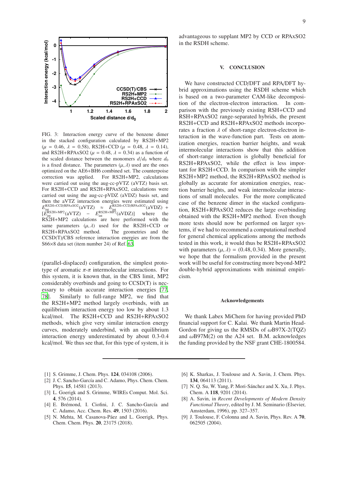

FIG. 3: Interaction energy curve of the benzene dimer in the stacked configuration calculated by RS2H+MP2  $(\mu = 0.46, \lambda = 0.58)$ , RS2H+CCD  $(\mu = 0.48, \lambda = 0.14)$ , and RS2H+RPAxSO2 ( $\mu$  = 0.48,  $\lambda$  = 0.34) as a function of the scaled distance between the monomers  $d/d_0$  where  $d_0$ is a fixed distance. The parameters  $(\mu, \lambda)$  used are the ones optimized on the AE6+BH6 combined set. The counterpoise correction was applied. For RS2H+MP2, calculations were carried out using the aug-cc-pVTZ (aVTZ) basis set. For RS2H+CCD and RS2H+RPAxSO2, calculations were carried out using the aug-cc-pVDZ (aVDZ) basis set, and then the aVTZ interaction energies were estimated using  $E_{\text{infl}}^{\text{RS2H+CCD/RPA}\times\text{SO2}}(a\text{VTZ}) \approx E_{\text{infl}}^{\text{RS2H+CCD/RPA}\times\text{SO2}}(a\text{VDZ}) +$  $\left[ \vec{E}_{int}^{\text{RS2H+MP2}} (aVTZ) - \vec{E}_{int}^{\text{RS2H+MP2}} (aVDZ) \right]$  where the RS2H+MP2 calculations are here performed with the same parameters  $(\mu, \lambda)$  used for the RS2H+CCD or RS2H+RPAxSO2 method. The geometries and the CCSD(T)/CBS reference interaction energies are from the S66×8 data set (item number 24) of Ref. 63.

(parallel-displaced) configuration, the simplest prototype of aromatic  $\pi$ - $\pi$  intermolecular interactions. For this system, it is known that, in the CBS limit, MP2 considerably overbinds and going to CCSD(T) is necessary to obtain accurate interaction energies [77, 78]. Similarly to full-range MP2, we find that the RS2H+MP2 method largely overbinds, with an equilibrium interaction energy too low by about 1.3 kcal/mol. The RS2H+CCD and RS2H+RPAxSO2 methods, which give very similar interaction energy curves, moderately underbind, with an equilibrium interaction energy underestimated by about 0.3-0.4 kcal/mol. We thus see that, for this type of system, it is

- [1] S. Grimme, J. Chem. Phys. 124, 034108 (2006).
- [2] J. C. Sancho-García and C. Adamo, Phys. Chem. Chem. Phys. 15, 14581 (2013).
- [3] L. Goerigk and S. Grimme, WIREs Comput. Mol. Sci. 4, 576 (2014).
- [4] E. Brémond, I. Ciofini, J. C. Sancho-García and C. Adamo, Acc. Chem. Res. 49, 1503 (2016).
- [5] N. Mehta, M. Casanova-Páez and L. Goerigk, Phys. Chem. Chem. Phys. 20, 23175 (2018).

advantageous to supplant MP2 by CCD or RPAxSO2 in the RSDH scheme.

#### V. CONCLUSION

We have constructed CCD/DFT and RPA/DFT hybrid approximations using the RSDH scheme which is based on a two-parameter CAM-like decomposition of the electron-electron interaction. In comparison with the previously existing RSH+CCD and RSH+RPAxSO2 range-separated hybrids, the present RS2H+CCD and RS2H+RPAxSO2 methods incorporates a fraction  $\lambda$  of short-range electron-electron interaction in the wave-function part. Tests on atomization energies, reaction barrier heights, and weak intermolecular interactions show that this addition of short-range interaction is globally beneficial for RS2H+RPAxSO2, while the effect is less important for RS2H+CCD. In comparison with the simpler RS2H+MP2 method, the RS2H+RPAxSO2 method is globally as accurate for atomization energies, reaction barrier heights, and weak intermolecular interactions of small molecules. For the more complicated case of the benzene dimer in the stacked configuration, RS2H+RPAxSO2 reduces the large overbinding obtained with the RS2H+MP2 method. Even though more tests should now be performed on larger systems, if we had to recommend a computational method for general chemical applications among the methods tested in this work, it would thus be RS2H+RPAxSO2 with parameters  $(\mu, \lambda) = (0.48, 0.34)$ . More generally, we hope that the formalism provided in the present work will be useful for constructing more beyond-MP2 double-hybrid approximations with minimal empiricism.

#### Acknowledgements

We thank Labex MiChem for having provided PhD financial support for C. Kalai. We thank Martin Head-Gordon for giving us the RMSDs of  $\omega$ B97X-2(TQZ) and  $\omega$ B97M(2) on the A24 set. B.M. acknowledges the funding provided by the NSF grant CHE-1800584.

- [6] K. Sharkas, J. Toulouse and A. Savin, J. Chem. Phys. 134, 064113 (2011).
- [7] N. Q. Su, W. Yang, P. Mori-Sánchez and X. Xu, J. Phys. Chem. A 118, 9201 (2014).
- [8] A. Savin, in *Recent Developments of Modern Density Functional Theory*, edited by J. M. Seminario (Elsevier, Amsterdam, 1996), pp. 327–357.
- [9] J. Toulouse, F. Colonna and A. Savin, Phys. Rev. A 70, 062505 (2004).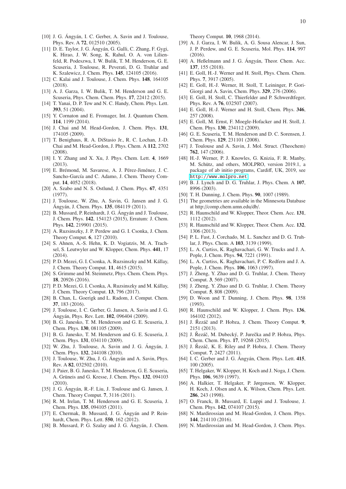- [11] D. E. Taylor, J. G. Ángyán, G. Galli, C. Zhang, F. Gygi, K. Hirao, J. W. Song, K. Rahul, O. A. von Lilienfeld, R. Podeszwa, I. W. Bulik, T. M. Henderson, G. E. Scuseria, J. Toulouse, R. Peverati, D. G. Truhlar and K. Szalewicz, J. Chem. Phys. 145, 124105 (2016).
- [12] C. Kalai and J. Toulouse, J. Chem. Phys. **148**, 164105 (2018).
- [13] A. J. Garza, I. W. Bulik, T. M. Henderson and G. E. Scuseria, Phys. Chem. Chem. Phys. 17, 22412 (2015).
- [14] T. Yanai, D. P. Tew and N. C. Handy, Chem. Phys. Lett. 393, 51 (2004).
- [15] Y. Cornaton and E. Fromager, Int. J. Quantum Chem. 114, 1199 (2014).
- [16] J. Chai and M. Head-Gordon, J. Chem. Phys. 131, 174105 (2009).
- [17] T. Benighaus, R. A. DiStasio Jr., R. C. Lochan, J.-D. Chai and M. Head-Gordon, J. Phys. Chem. A 112, 2702  $(2008)$
- [18] I. Y. Zhang and X. Xu, J. Phys. Chem. Lett. 4, 1669 (2013).
- [19] E. Brémond, M. Savarese, A. J. Pérez-Jiménez, J. C. Sancho-García and C. Adamo, J. Chem. Theory Comput. 14, 4052 (2018).
- [20] A. Szabo and N. S. Ostlund, J. Chem. Phys. 67, 4351 (1977).
- [21] J. Toulouse, W. Zhu, A. Savin, G. Jansen and J. G. Ángyán, J. Chem. Phys. 135, 084119 (2011).
- [22] B. Mussard, P. Reinhardt, J. G. Ángyán and J. Toulouse, J. Chem. Phys. 142, 154123 (2015), Erratum: J. Chem. Phys. 142, 219901 (2015).
- [23] A. Ruzsinszky, J. P. Perdew and G. I. Csonka, J. Chem. Theory Comput. 6, 127 (2010).
- [24] S. Ahnen, A.-S. Hehn, K. D. Vogiatzis, M. A. Trachsel, S. Leutwyler and W. Klopper, Chem. Phys. 441, 17 (2014).
- [25] P. D. Mezei, G. I. Csonka, A. Ruzsinszky and M. Kállay, J. Chem. Theory Comput. 11, 4615 (2015).
- [26] S. Grimme and M. Steinmetz, Phys. Chem. Chem. Phys. 18, 20926 (2016).
- [27] P. D. Mezei, G. I. Csonka, A. Ruzsinszky and M. Kállay, J. Chem. Theory Comput. 13, 796 (2017).
- [28] B. Chan, L. Goerigk and L. Radom, J. Comput. Chem. 37, 183 (2016).
- [29] J. Toulouse, I. C. Gerber, G. Jansen, A. Savin and J. G. Ángyán, Phys. Rev. Lett. **102**, 096404 (2009).
- [30] B. G. Janesko, T. M. Henderson and G. E. Scuseria, J. Chem. Phys. 130, 081105 (2009).
- [31] B. G. Janesko, T. M. Henderson and G. E. Scuseria, J. Chem. Phys. 131, 034110 (2009).
- [32] W. Zhu, J. Toulouse, A. Savin and J. G. Angyán, J. Chem. Phys. 132, 244108 (2010).
- [33] J. Toulouse, W. Zhu, J. G. Ángyán and A. Savin, Phys. Rev. A 82, 032502 (2010).
- [34] J. Paier, B. G. Janesko, T. M. Henderson, G. E. Scuseria, A. Grüneis and G. Kresse, J. Chem. Phys. 132, 094103 (2010).
- [35] J. G. Ángyán, R.-F. Liu, J. Toulouse and G. Jansen, J. Chem. Theory Comput. 7, 3116 (2011).
- [36] R. M. Irelan, T. M. Henderson and G. E. Scuseria, J. Chem. Phys. 135, 094105 (2011).
- [37] E. Chermak, B. Mussard, J. G. Angyán and P. Reinhardt, Chem. Phys. Lett. 550, 162 (2012).
- [38] B. Mussard, P. G. Szalay and J. G. Ángyán, J. Chem.

Theory Comput. 10, 1968 (2014).

- [39] A. J. Garza, I. W. Bulik, A. G. Sousa Alencar, J. Sun, J. P. Perdew, and G. E. Scuseria, Mol. Phys. 114, 997 (2016).
- [40] A. Heßelmann and J. G. Ángyán, Theor. Chem. Acc. 137, 155 (2018).
- [41] E. Goll, H.-J. Werner and H. Stoll, Phys. Chem. Chem. Phys. 7, 3917 (2005).
- [42] E. Goll, H.-J. Werner, H. Stoll, T. Leininger, P. Gori-Giorgi and A. Savin, Chem. Phys. 329, 276 (2006).
- [43] E. Goll, H. Stoll, C. Thierfelder and P. Schwerdtfeger, Phys. Rev. A 76, 032507 (2007).
- [44] E. Goll, H.-J. Werner and H. Stoll, Chem. Phys. 346, 257 (2008).
- [45] E. Goll, M. Ernst, F. Moegle-Hofacker and H. Stoll, J. Chem. Phys. 130, 234112 (2009).
- [46] G. E. Scuseria, T. M. Henderson and D. C. Sorensen, J. Chem. Phys. 129, 231101 (2008).
- [47] J. Toulouse and A. Savin, J. Mol. Struct. (Theochem) 762, 147 (2006).
- [48] H.-J. Werner, P. J. Knowles, G. Knizia, F. R. Manby, M. Schütz, and others, MOLPRO, version 2019.1, a package of ab initio programs, Cardiff, UK, 2019, see <http://www.molpro.net>.
- [49] B. J. Lynch and D. G. Truhlar, J. Phys. Chem. A 107, 8996 (2003).
- [50] T. H. Dunning, J. Chem. Phys. 90, 1007 (1989).
- [51] The geometries are available in the Minnesota Database at http://comp.chem.umn.edu/db/.
- [52] R. Haunschild and W. Klopper, Theor. Chem. Acc. 131, 1112 (2012).
- [53] R. Haunschild and W. Klopper, Theor. Chem. Acc. 132, 1306 (2013).
- [54] P. L. Fast, J. Corchado, M. L. Sanchez and D. G. Truhlar, J. Phys. Chem. A 103, 3139 (1999).
- [55] L. A. Curtiss, K. Raghavachari, G. W. Trucks and J. A. Pople, J. Chem. Phys. 94, 7221 (1991).
- [56] L. A. Curtiss, K. Raghavachari, P. C. Redfern and J. A. Pople, J. Chem. Phys. 106, 1063 (1997).
- [57] J. Zheng, Y. Zhao and D. G. Truhlar, J. Chem. Theory Comput. 3, 569 (2007).
- [58] J. Zheng, Y. Zhao and D. G. Truhlar, J. Chem. Theory Comput. 5, 808 (2009).
- [59] D. Woon and T. Dunning, J. Chem. Phys. 98, 1358 (1993).
- [60] R. Haunschild and W. Klopper, J. Chem. Phys. 136, 164102 (2012).
- [61] J. Řezáč and P. Hobza, J. Chem. Theory Comput. 9, 2151 (2013).
- [62] J. Řezáč, M. Dubecký, P. Jurečka and P. Hobza, Phys. Chem. Chem. Phys. 17, 19268 (2015).
- [63] J. Řezáč, K. E. Riley and P. Hobza, J. Chem. Theory Comput. 7, 2427 (2011).
- [64] I. C. Gerber and J. G. Ángyán, Chem. Phys. Lett. 415, 100 (2005).
- [65] T. Helgaker, W. Klopper, H. Koch and J. Noga, J. Chem. Phys. 106, 9639 (1997).
- [66] A. Halkier, T. Helgaker, P. Jørgensen, W. Klopper, H. Koch, J. Olsen and A. K. Wilson, Chem. Phys. Lett. 286, 243 (1998).
- [67] O. Franck, B. Mussard, E. Luppi and J. Toulouse, J. Chem. Phys. 142, 074107 (2015).
- [68] N. Mardirossian and M. Head-Gordon, J. Chem. Phys. 144, 214110 (2016).
- [69] N. Mardirossian and M. Head-Gordon, J. Chem. Phys.